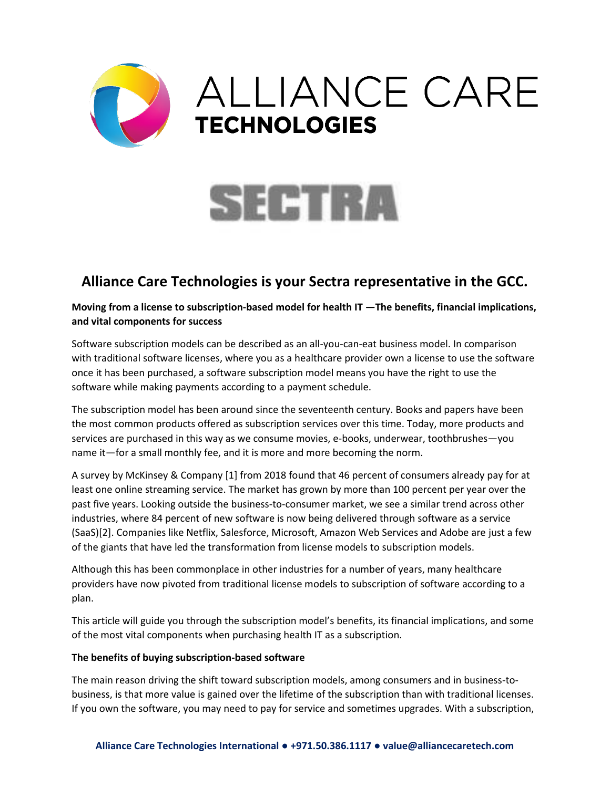



# **Alliance Care Technologies is your Sectra representative in the GCC.**

**Moving from a license to subscription-based model for health IT —The benefits, financial implications, and vital components for success**

Software subscription models can be described as an all-you-can-eat business model. In comparison with traditional software licenses, where you as a healthcare provider own a license to use the software once it has been purchased, a software subscription model means you have the right to use the software while making payments according to a payment schedule.

The subscription model has been around since the seventeenth century. Books and papers have been the most common products offered as subscription services over this time. Today, more products and services are purchased in this way as we consume movies, e-books, underwear, toothbrushes—you name it—for a small monthly fee, and it is more and more becoming the norm.

A survey by McKinsey & Company [1] from 2018 found that 46 percent of consumers already pay for at least one online streaming service. The market has grown by more than 100 percent per year over the past five years. Looking outside the business-to-consumer market, we see a similar trend across other industries, where 84 percent of new software is now being delivered through software as a service (SaaS)[2]. Companies like Netflix, Salesforce, Microsoft, Amazon Web Services and Adobe are just a few of the giants that have led the transformation from license models to subscription models.

Although this has been commonplace in other industries for a number of years, many healthcare providers have now pivoted from traditional license models to subscription of software according to a plan.

This article will guide you through the subscription model's benefits, its financial implications, and some of the most vital components when purchasing health IT as a subscription.

### **The benefits of buying subscription-based software**

The main reason driving the shift toward subscription models, among consumers and in business-tobusiness, is that more value is gained over the lifetime of the subscription than with traditional licenses. If you own the software, you may need to pay for service and sometimes upgrades. With a subscription,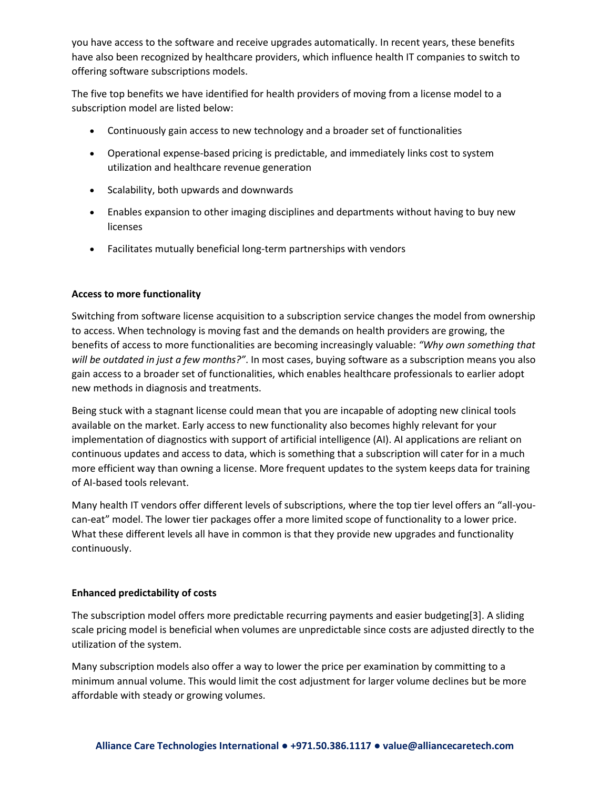you have access to the software and receive upgrades automatically. In recent years, these benefits have also been recognized by healthcare providers, which influence health IT companies to switch to offering software subscriptions models.

The five top benefits we have identified for health providers of moving from a license model to a subscription model are listed below:

- Continuously gain access to new technology and a broader set of functionalities
- Operational expense-based pricing is predictable, and immediately links cost to system utilization and healthcare revenue generation
- Scalability, both upwards and downwards
- Enables expansion to other imaging disciplines and departments without having to buy new licenses
- Facilitates mutually beneficial long-term partnerships with vendors

### **Access to more functionality**

Switching from software license acquisition to a subscription service changes the model from ownership to access. When technology is moving fast and the demands on health providers are growing, the benefits of access to more functionalities are becoming increasingly valuable: *"Why own something that will be outdated in just a few months?"*. In most cases, buying software as a subscription means you also gain access to a broader set of functionalities, which enables healthcare professionals to earlier adopt new methods in diagnosis and treatments.

Being stuck with a stagnant license could mean that you are incapable of adopting new clinical tools available on the market. Early access to new functionality also becomes highly relevant for your implementation of diagnostics with support of artificial intelligence (AI). AI applications are reliant on continuous updates and access to data, which is something that a subscription will cater for in a much more efficient way than owning a license. More frequent updates to the system keeps data for training of AI-based tools relevant.

Many health IT vendors offer different levels of subscriptions, where the top tier level offers an "all-youcan-eat" model. The lower tier packages offer a more limited scope of functionality to a lower price. What these different levels all have in common is that they provide new upgrades and functionality continuously.

### **Enhanced predictability of costs**

The subscription model offers more predictable recurring payments and easier budgeting[3]. A sliding scale pricing model is beneficial when volumes are unpredictable since costs are adjusted directly to the utilization of the system.

Many subscription models also offer a way to lower the price per examination by committing to a minimum annual volume. This would limit the cost adjustment for larger volume declines but be more affordable with steady or growing volumes.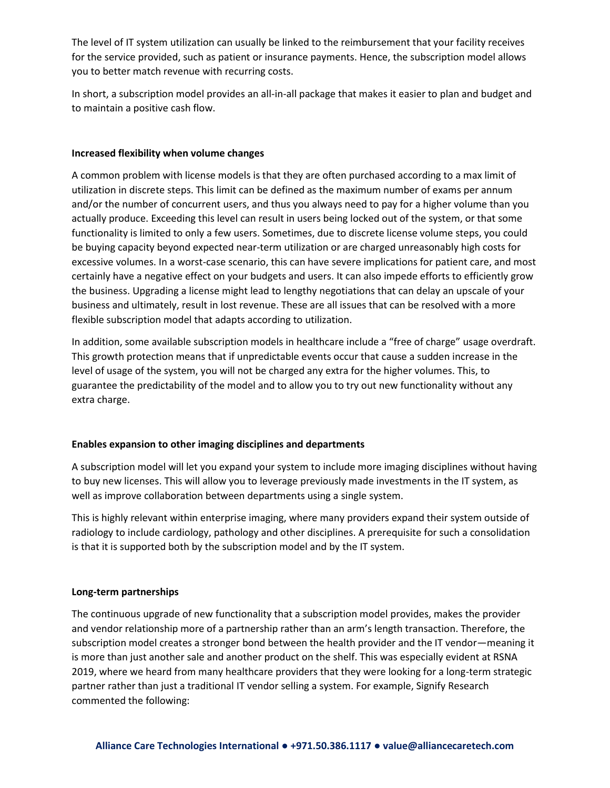The level of IT system utilization can usually be linked to the reimbursement that your facility receives for the service provided, such as patient or insurance payments. Hence, the subscription model allows you to better match revenue with recurring costs.

In short, a subscription model provides an all-in-all package that makes it easier to plan and budget and to maintain a positive cash flow.

#### **Increased flexibility when volume changes**

A common problem with license models is that they are often purchased according to a max limit of utilization in discrete steps. This limit can be defined as the maximum number of exams per annum and/or the number of concurrent users, and thus you always need to pay for a higher volume than you actually produce. Exceeding this level can result in users being locked out of the system, or that some functionality is limited to only a few users. Sometimes, due to discrete license volume steps, you could be buying capacity beyond expected near-term utilization or are charged unreasonably high costs for excessive volumes. In a worst-case scenario, this can have severe implications for patient care, and most certainly have a negative effect on your budgets and users. It can also impede efforts to efficiently grow the business. Upgrading a license might lead to lengthy negotiations that can delay an upscale of your business and ultimately, result in lost revenue. These are all issues that can be resolved with a more flexible subscription model that adapts according to utilization.

In addition, some available subscription models in healthcare include a "free of charge" usage overdraft. This growth protection means that if unpredictable events occur that cause a sudden increase in the level of usage of the system, you will not be charged any extra for the higher volumes. This, to guarantee the predictability of the model and to allow you to try out new functionality without any extra charge.

### **Enables expansion to other imaging disciplines and departments**

A subscription model will let you expand your system to include more imaging disciplines without having to buy new licenses. This will allow you to leverage previously made investments in the IT system, as well as improve collaboration between departments using a single system.

This is highly relevant within enterprise imaging, where many providers expand their system outside of radiology to include cardiology, pathology and other disciplines. A prerequisite for such a consolidation is that it is supported both by the subscription model and by the IT system.

#### **Long-term partnerships**

The continuous upgrade of new functionality that a subscription model provides, makes the provider and vendor relationship more of a partnership rather than an arm's length transaction. Therefore, the subscription model creates a stronger bond between the health provider and the IT vendor—meaning it is more than just another sale and another product on the shelf. This was especially evident at RSNA 2019, where we heard from many healthcare providers that they were looking for a long-term strategic partner rather than just a traditional IT vendor selling a system. For example, Signify Research commented the following: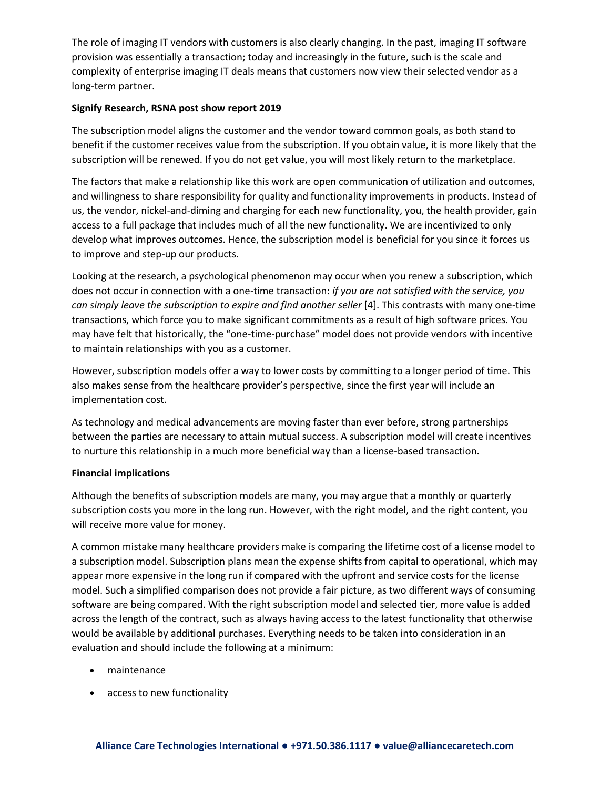The role of imaging IT vendors with customers is also clearly changing. In the past, imaging IT software provision was essentially a transaction; today and increasingly in the future, such is the scale and complexity of enterprise imaging IT deals means that customers now view their selected vendor as a long-term partner.

### **Signify Research, RSNA post show report 2019**

The subscription model aligns the customer and the vendor toward common goals, as both stand to benefit if the customer receives value from the subscription. If you obtain value, it is more likely that the subscription will be renewed. If you do not get value, you will most likely return to the marketplace.

The factors that make a relationship like this work are open communication of utilization and outcomes, and willingness to share responsibility for quality and functionality improvements in products. Instead of us, the vendor, nickel-and-diming and charging for each new functionality, you, the health provider, gain access to a full package that includes much of all the new functionality. We are incentivized to only develop what improves outcomes. Hence, the subscription model is beneficial for you since it forces us to improve and step-up our products.

Looking at the research, a psychological phenomenon may occur when you renew a subscription, which does not occur in connection with a one-time transaction: *if you are not satisfied with the service, you can simply leave the subscription to expire and find another seller* [4]. This contrasts with many one-time transactions, which force you to make significant commitments as a result of high software prices. You may have felt that historically, the "one-time-purchase" model does not provide vendors with incentive to maintain relationships with you as a customer.

However, subscription models offer a way to lower costs by committing to a longer period of time. This also makes sense from the healthcare provider's perspective, since the first year will include an implementation cost.

As technology and medical advancements are moving faster than ever before, strong partnerships between the parties are necessary to attain mutual success. A subscription model will create incentives to nurture this relationship in a much more beneficial way than a license-based transaction.

### **Financial implications**

Although the benefits of subscription models are many, you may argue that a monthly or quarterly subscription costs you more in the long run. However, with the right model, and the right content, you will receive more value for money.

A common mistake many healthcare providers make is comparing the lifetime cost of a license model to a subscription model. Subscription plans mean the expense shifts from capital to operational, which may appear more expensive in the long run if compared with the upfront and service costs for the license model. Such a simplified comparison does not provide a fair picture, as two different ways of consuming software are being compared. With the right subscription model and selected tier, more value is added across the length of the contract, such as always having access to the latest functionality that otherwise would be available by additional purchases. Everything needs to be taken into consideration in an evaluation and should include the following at a minimum:

- maintenance
- access to new functionality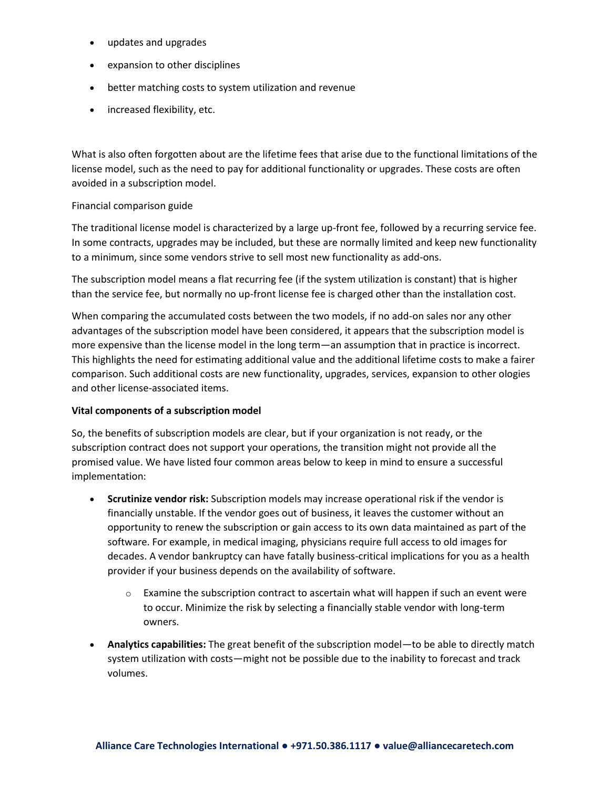- updates and upgrades
- expansion to other disciplines
- better matching costs to system utilization and revenue
- increased flexibility, etc.

What is also often forgotten about are the lifetime fees that arise due to the functional limitations of the license model, such as the need to pay for additional functionality or upgrades. These costs are often avoided in a subscription model.

### Financial comparison guide

The traditional license model is characterized by a large up-front fee, followed by a recurring service fee. In some contracts, upgrades may be included, but these are normally limited and keep new functionality to a minimum, since some vendors strive to sell most new functionality as add-ons.

The subscription model means a flat recurring fee (if the system utilization is constant) that is higher than the service fee, but normally no up-front license fee is charged other than the installation cost.

When comparing the accumulated costs between the two models, if no add-on sales nor any other advantages of the subscription model have been considered, it appears that the subscription model is more expensive than the license model in the long term—an assumption that in practice is incorrect. This highlights the need for estimating additional value and the additional lifetime costs to make a fairer comparison. Such additional costs are new functionality, upgrades, services, expansion to other ologies and other license-associated items.

### **Vital components of a subscription model**

So, the benefits of subscription models are clear, but if your organization is not ready, or the subscription contract does not support your operations, the transition might not provide all the promised value. We have listed four common areas below to keep in mind to ensure a successful implementation:

- **Scrutinize vendor risk:** Subscription models may increase operational risk if the vendor is financially unstable. If the vendor goes out of business, it leaves the customer without an opportunity to renew the subscription or gain access to its own data maintained as part of the software. For example, in medical imaging, physicians require full access to old images for decades. A vendor bankruptcy can have fatally business-critical implications for you as a health provider if your business depends on the availability of software.
	- $\circ$  Examine the subscription contract to ascertain what will happen if such an event were to occur. Minimize the risk by selecting a financially stable vendor with long-term owners.
- **Analytics capabilities:** The great benefit of the subscription model—to be able to directly match system utilization with costs—might not be possible due to the inability to forecast and track volumes.